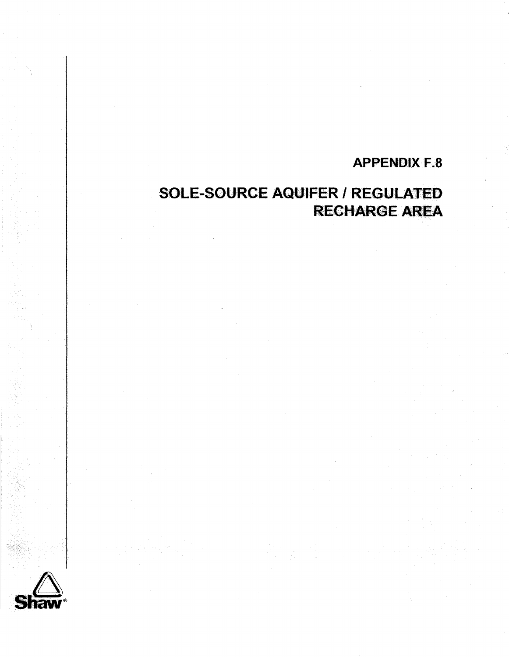## **APPENUiX F.8**

## **SOLE-SOURCE AQUIFER** I **REGULATED RECHARGE AREA**

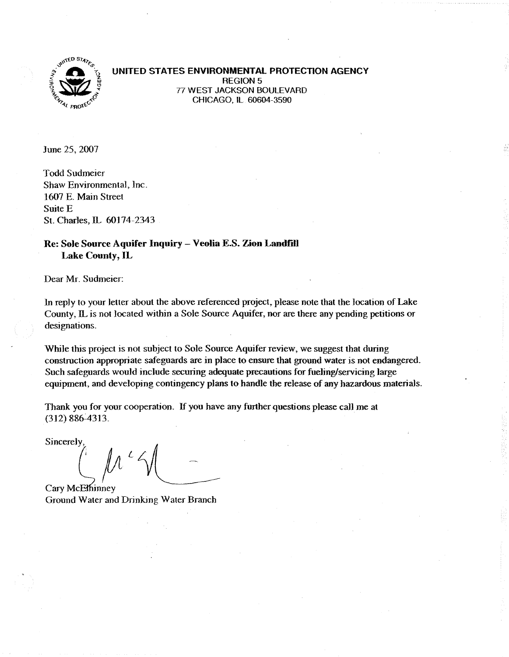

**UNITED STATES ENVIRONMENTAL PROTECTION AGENCY 77 WEST JACKSON BOULEVARD <sup>z</sup>**77 WEST JACKSON BOULEVARD % **4t** 4' CHICAGO, **IL** 60604-3590

June 25,2007

Todd Sudmeier Shaw Environmental, Inc. 1607 E. Main Street Suite E St. Charles, **IL** *603* 74-2343

## **Re: Sole Source Aquifer Inquiry** - **Veolia ES. Zion Landfill Lake County, IL**

Dear Mr. Sudmeier:

**In** reply to your letter about the above referenced project, please note that the location of Lake County, **IL** is not located within a Sole Source Aquifer, nor are there any pending petitions or designations.

While this project is not subject to Sole Source Aquifer review, we suggest that during construction appropriate safeguards are in place to ensure that ground water is not endangered. Such safeguards would include securing adequate precautions for fueling/servicing large equipment, and developing contingency plans to handle the release of any hazardous materials.

Thank you for your cooperation. If you have any further questions please call me at (312) 886-4313.

Sincerely

Cary McElhinney Ground Water and **Drinking** Water Branch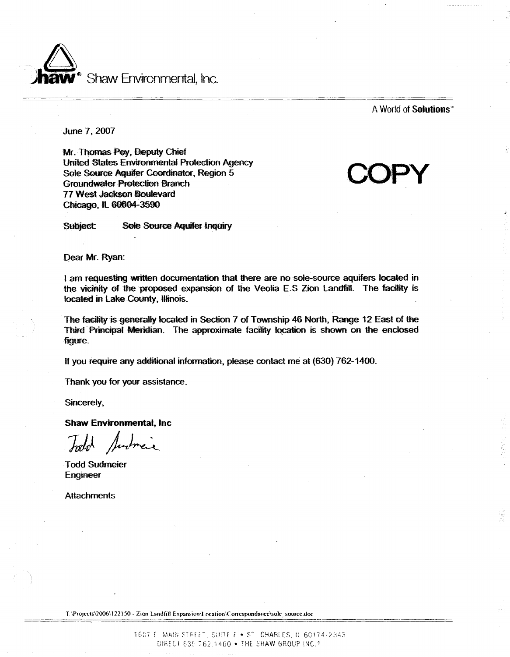

A **World of Solutions'"** 

June 7,2007

Mr. Thonas **Fey,** Deputy Chief United States Environmental Protection Agency **Sole Source Aquifer Coordinator, Region 5 Groundwater Protection Branch** 77 West **Jackson** Boulevard Chicago, **IL 60604-3590** 

Sole Source Aquifer Inquiry

**COPY** 

Dear Mr. Ryan:

Subject:

I am requesting written documentation that there are no sole-source aquifers located in the vicinity of the proposed expansion of the Veolia E.S Zion Landfill. The facility is **b** located in Lake County, Illinois.

The facility is generally located in Section 7 of Township 46 North, Range 12 East of the Third Principal Meridian. The approximate facility location is shown on the enclosed figure.

**If** you require any additional information, please contact me at (630) 762-1400.

Thank you for your assistance.

Sincerely,

**Shaw Enriromnerrtal, Inc** 

Todd Sudmeier Engineer

**Attachments** 

T.\Projects\2006\122150 - Zion Landfill Expansion\Location\Correspondance\sole\_source.doc